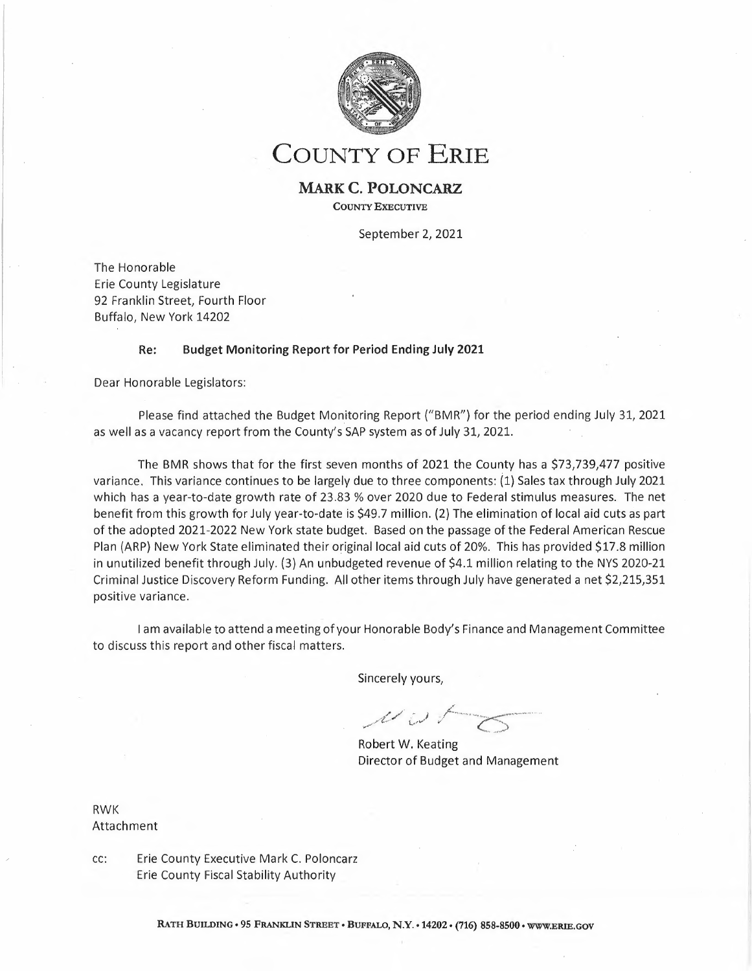

**COUNTY OF ERIE**

## **MARK C. POLONCARZ COUNTY EXECUTIVE**

September 2, 2021

The Honorable Erie County Legislature 92 Franklin Street, Fourth Floor Buffalo, New York 14202

## **Re: Budget Monitoring Report for Period Ending July 2021**

Dear Honorable Legislators:

Please find attached the Budget Monitoring Report ("BMR") for the period ending July 31, <sup>2021</sup> as well as <sup>a</sup> vacancy report from the County's SAP system as of July 31, 2021.

The BMR shows that for the first seven months of 2021 the County has a \$73,739,477 positive variance. This variance continues to be largely due to three components: (1) Sales tax through July 2021 which has <sup>a</sup> year-to-date growth rate of 23.83 % over 2020 due to Federal stimulus measures. The net benefit from this growth for July year-to-date is \$49.7 million. (2) The elimination of local aid cuts as part of the adopted 2021-2022 New York state budget. Based on the passage of the Federal American Rescue Plan (ARP) New York State eliminated their original local aid cuts of 20%. This has provided \$17.8 million in unutilized benefit through July. (3) An unbudgeted revenue of \$4.1 million relating to the NYS 2020-21 Criminal Justice Discovery Reform Funding. All other items through July have generated <sup>a</sup> net \$2,215,351 positive variance.

<sup>I</sup> am available to attend <sup>a</sup> meeting of your Honorable Body's Finance and Management Committee to discuss this report and other fiscal matters.

Sincerely yours,

, ,,// .' ) \_¡:..,\_,\_ • w-~·•-, .,-.-•~--··· .. *'*.*......>*

Robert W. Keating Director of Budget and Management

RWK Attachment

cc: Erie County Executive Mark C. Poloncarz Erie County Fiscal Stability Authority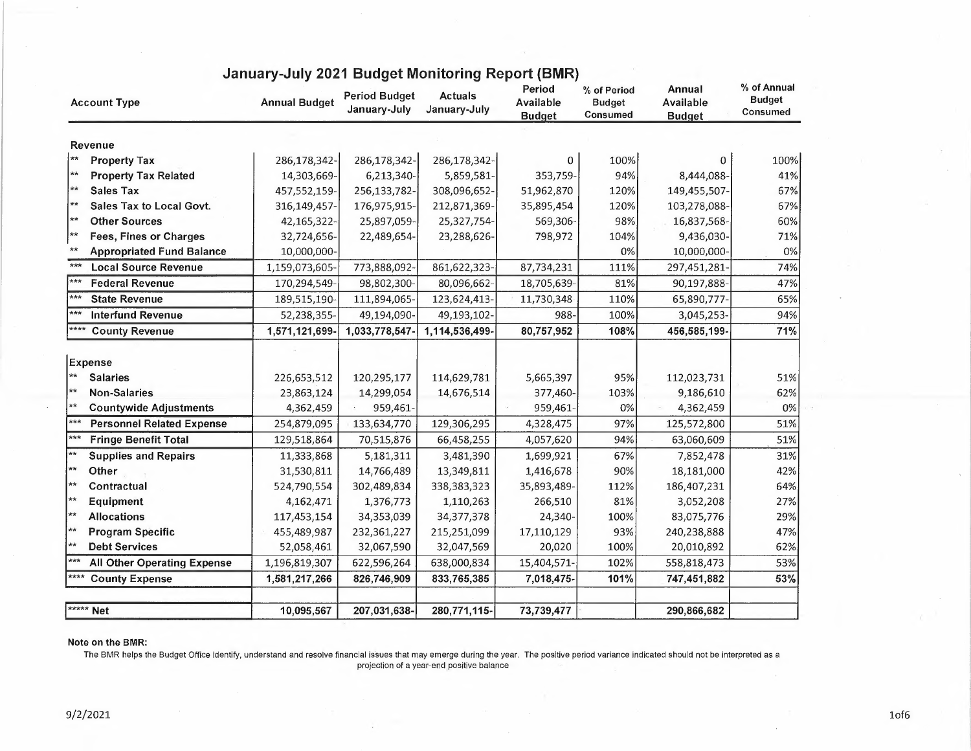| <b>Account Type</b>                           | <b>Annual Budget</b> | <b>Period Budget</b><br>January-July | <b>Actuals</b><br>January-July | Period<br>Available<br><b>Budget</b> | % of Period<br><b>Budget</b><br>Consumed | Annual<br>Available<br><b>Budget</b> | % of Annual<br><b>Budget</b><br>Consumed |
|-----------------------------------------------|----------------------|--------------------------------------|--------------------------------|--------------------------------------|------------------------------------------|--------------------------------------|------------------------------------------|
| Revenue                                       |                      |                                      |                                |                                      |                                          |                                      |                                          |
| $\star\star$<br><b>Property Tax</b>           | 286,178,342-         | 286,178,342-                         | 286,178,342-                   | 0                                    | 100%                                     | 0                                    | 100%                                     |
| $**$<br><b>Property Tax Related</b>           | 14,303,669-          | 6,213,340-                           | 5,859,581-                     | 353,759-                             | 94%                                      | 8,444,088-                           | 41%                                      |
| **<br><b>Sales Tax</b>                        | 457,552,159-         | 256,133,782-                         | 308,096,652-                   | 51,962,870                           | 120%                                     | 149,455,507-                         | 67%                                      |
| $**$<br>Sales Tax to Local Govt.              | 316,149,457-         | 176,975,915-                         | 212,871,369-                   | 35,895,454                           | 120%                                     | 103,278,088-                         | 67%                                      |
| **<br><b>Other Sources</b>                    | 42,165,322-          | 25,897,059-                          | 25,327,754-                    | 569,306-                             | 98%                                      | 16,837,568-                          | 60%                                      |
| **<br><b>Fees, Fines or Charges</b>           | 32,724,656-          | 22,489,654-                          | 23,288,626-                    | 798,972                              | 104%                                     | 9,436,030-                           | 71%                                      |
| $**$<br><b>Appropriated Fund Balance</b>      | 10,000,000-          |                                      |                                |                                      | 0%                                       | 10,000,000-                          | 0%                                       |
| $***$<br><b>Local Source Revenue</b>          | 1,159,073,605-       | 773,888,092-                         | 861,622,323-                   | 87,734,231                           | 111%                                     | 297,451,281-                         | 74%                                      |
| $***$<br><b>Federal Revenue</b>               | 170,294,549-         | 98,802,300-                          | 80,096,662-                    | 18,705,639-                          | 81%                                      | 90,197,888-                          | 47%                                      |
| $***$<br><b>State Revenue</b>                 | 189,515,190          | 111,894,065-                         | 123,624,413-                   | 11,730,348                           | 110%                                     | 65,890,777-                          | 65%                                      |
| $***$<br><b>Interfund Revenue</b>             | 52,238,355-          | 49,194,090-                          | 49,193,102-                    | 988-                                 | 100%                                     | 3,045,253-                           | 94%                                      |
| ****<br><b>County Revenue</b>                 | 1,571,121,699        | 1,033,778,547-                       | 1,114,536,499-                 | 80,757,952                           | 108%                                     | 456,585,199-                         | 71%                                      |
| Expense                                       |                      |                                      |                                |                                      |                                          |                                      |                                          |
| $\star\star$<br><b>Salaries</b>               | 226,653,512          | 120,295,177                          | 114,629,781                    | 5,665,397                            | 95%                                      | 112,023,731                          | 51%                                      |
| $**$<br><b>Non-Salaries</b>                   | 23,863,124           | 14,299,054                           | 14,676,514                     | 377,460-                             | 103%                                     | 9,186,610                            | 62%                                      |
| $\star\star$<br><b>Countywide Adjustments</b> | 4,362,459            | 959,461-                             |                                | 959,461-                             | 0%                                       | 4,362,459                            | 0%                                       |
| $***$<br><b>Personnel Related Expense</b>     | 254,879,095          | 133,634,770                          | 129,306,295                    | 4,328,475                            | 97%                                      | 125,572,800                          | 51%                                      |
| $***$<br><b>Fringe Benefit Total</b>          | 129,518,864          | 70,515,876                           | 66,458,255                     | 4,057,620                            | 94%                                      | 63,060,609                           | 51%                                      |
| $**$<br><b>Supplies and Repairs</b>           | 11,333,868           | 5,181,311                            | 3,481,390                      | 1,699,921                            | 67%                                      | 7,852,478                            | 31%                                      |
| $**$<br>Other                                 | 31,530,811           | 14,766,489                           | 13,349,811                     | 1,416,678                            | 90%                                      | 18,181,000                           | 42%                                      |
| $\star\star$<br>Contractual                   | 524,790,554          | 302,489,834                          | 338,383,323                    | 35,893,489-                          | 112%                                     | 186,407,231                          | 64%                                      |
| $**$<br>Equipment                             | 4,162,471            | 1,376,773                            | 1,110,263                      | 266,510                              | 81%                                      | 3,052,208                            | 27%                                      |
| $**$<br><b>Allocations</b>                    | 117,453,154          | 34,353,039                           | 34,377,378                     | 24,340-                              | 100%                                     | 83,075,776                           | 29%                                      |
| **<br><b>Program Specific</b>                 | 455,489,987          | 232,361,227                          | 215,251,099                    | 17,110,129                           | 93%                                      | 240,238,888                          | 47%                                      |
| $**$<br><b>Debt Services</b>                  | 52,058,461           | 32,067,590                           | 32,047,569                     | 20,020                               | 100%                                     | 20,010,892                           | 62%                                      |
| ***<br><b>All Other Operating Expense</b>     | 1,196,819,307        | 622,596,264                          | 638,000,834                    | 15,404,571-                          | 102%                                     | 558,818,473                          | 53%                                      |
| ****<br><b>County Expense</b>                 | 1,581,217,266        | 826,746,909                          | 833,765,385                    | 7,018,475-                           | 101%                                     | 747,451,882                          | 53%                                      |
| ***** Net                                     |                      |                                      |                                |                                      |                                          |                                      |                                          |
|                                               | 10,095,567           | 207,031,638-                         | 280,771,115-                   | 73,739,477                           |                                          | 290,866,682                          |                                          |

## **January-July 2021 Budget Monitoring Report (BMR)**

## **Note on the BMR:**

The BMR helps the Budget Office identify, understand and resolve financial issues that may emerge during the year. The positive period variance indicated should not be interpreted as a<br>projection of a year-end positive bal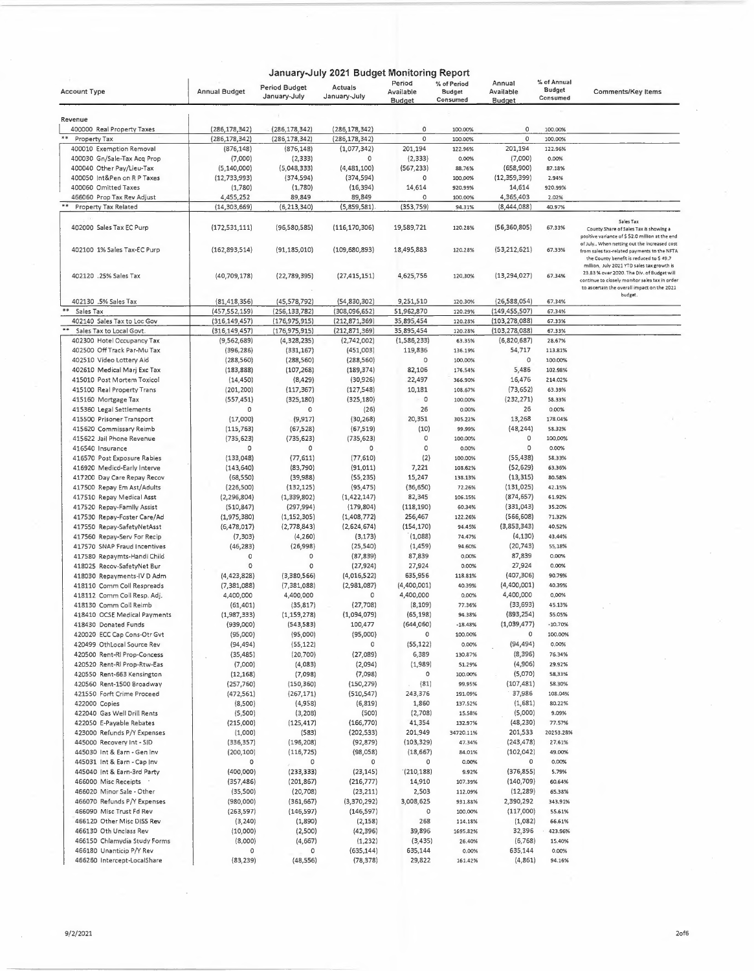|                                                                        |                                    |                                    | January-July 2021 Budget Monitoring Report |                               |                                          |                               |                                   |                                                                                                                                                                                           |
|------------------------------------------------------------------------|------------------------------------|------------------------------------|--------------------------------------------|-------------------------------|------------------------------------------|-------------------------------|-----------------------------------|-------------------------------------------------------------------------------------------------------------------------------------------------------------------------------------------|
| <b>Account Type</b>                                                    | <b>Annual Budget</b>               | Period Budget<br>January-July      | Actuals<br>January-July                    | Period<br>Available<br>Budget | % of Period<br><b>Budget</b><br>Consumed | Annual<br>Available<br>Budget | % of Annual<br>Budget<br>Consumed | Comments/Key Items                                                                                                                                                                        |
|                                                                        |                                    |                                    |                                            |                               |                                          |                               |                                   |                                                                                                                                                                                           |
| Revenue                                                                |                                    |                                    |                                            |                               |                                          |                               |                                   |                                                                                                                                                                                           |
| 400000 Real Property Taxes<br>$\qquad \qquad \ast\ast$<br>Property Tax | (286, 178, 342)<br>(286, 178, 342) | (286, 178, 342)<br>(286, 178, 342) | (286, 178, 342)<br>(286, 178, 342)         | 0<br>0                        | 100.00%                                  | 0<br>0                        | 100.00%<br>100.00%                |                                                                                                                                                                                           |
| 400010 Exemption Removal                                               | (876, 148)                         |                                    |                                            | 201,194                       | 100.00%<br>122.96%                       | 201,194                       | 122.96%                           |                                                                                                                                                                                           |
| 400030 Gn/Sale-Tax Acq Prop                                            | (7,000)                            | (876, 148)<br>(2, 333)             | (1,077,342)<br>0                           | (2, 333)                      | 0.00%                                    | (7,000)                       | 0.00%                             |                                                                                                                                                                                           |
| 400040 Other Pay/Lieu-Tax                                              | (5, 140, 000)                      | (5,048,333)                        | (4,481,100)                                | (567, 233)                    | 88.76%                                   | (658,900)                     | 87.18%                            |                                                                                                                                                                                           |
| 400050 Int&Pen on R P Taxes                                            | (12, 733, 993)                     | (374, 594)                         | (374, 594)                                 | 0                             | 100.00%                                  | (12, 359, 399)                | 2.94%                             |                                                                                                                                                                                           |
| 400060 Omitted Taxes                                                   | (1,780)                            | (1,780)                            | (16, 394)                                  | 14,614                        | 920.99%                                  | 14,614                        | 920.99%                           |                                                                                                                                                                                           |
| 466060 Prop Tax Rev Adjust                                             | 4,455,252                          | 89,849                             | 89,849                                     | 0                             | 100.00%                                  | 4,365,403                     | 2.02%                             |                                                                                                                                                                                           |
| <b>Property Tax Related</b>                                            | (14, 303, 669)                     | (6, 213, 340)                      | (5,859,581)                                | (353, 759)                    | 94.31%                                   | (8,444,088)                   | 40.97%                            |                                                                                                                                                                                           |
| 402000 Sales Tax EC Purp                                               | (172, 531, 111)                    | (96,580,585)                       | (116, 170, 306)                            | 19,589,721                    | 120.28%                                  | (56, 360, 805)                | 67.33%                            | Sales Tax<br>County Share of Sales Tax is showing a                                                                                                                                       |
| 402100 1% Sales Tax-EC Purp                                            | (162, 893, 514)                    | (91, 185, 010)                     | (109, 680, 893)                            | 18,495,883                    | 120.28%                                  | (53, 212, 621)                | 67.33%                            | positive variance of \$ 52.0 million at the end<br>of July When netting out the increased cost<br>from sales tax-related payments to the NFTA<br>the County benefit is reduced to \$49.7  |
| 402120 .25% Sales Tax                                                  | (40, 709, 178)                     | (22,789,395)                       | (27, 415, 151)                             | 4,625,756                     | 120.30%                                  | (13, 294, 027)                | 67.34%                            | million, July 2021 YTD sales tax growth is<br>23.83 % over 2020. The Div. of Budget will<br>continue to closely monitor sales tax in order<br>to ascertain the overall impact on the 2021 |
| 402130 .5% Sales Tax                                                   | (81, 418, 356)                     | (45, 578, 792)                     | (54, 830, 302)                             | 9,251,510                     | 120.30%                                  | (26,588,054)                  | 67.34%                            | budget.                                                                                                                                                                                   |
| **<br>Sales Tax                                                        | (457, 552, 159)                    | (256, 133, 782)                    | (308,096,652)                              | 51,962,870                    | 120.29%                                  | (149, 455, 507)               | 67.34%                            |                                                                                                                                                                                           |
| 402140 Sales Tax to Loc Gov                                            | (316, 149, 457)                    | (176, 975, 915)                    | (212,871,369)                              | 35,895,454                    | 120.28%                                  | (103,278,088)                 | 67.33%                            |                                                                                                                                                                                           |
| Sales Tax to Local Govt.                                               | (316, 149, 457)                    | (176, 975, 915)                    | (212, 871, 369)                            | 35,895,454                    | 120.28%                                  | (103, 278, 088)               | 67.33%                            |                                                                                                                                                                                           |
| 402300 Hotel Occupancy Tax                                             | (9,562,689)                        | (4,328,235)                        | (2,742,002)                                | (1,586,233)                   | 63.35%                                   | (6,820,687)                   | 28.67%                            |                                                                                                                                                                                           |
| 402500 Off Track Par-Mu Tax                                            | (396, 286)                         | (331, 167)                         | (451,003)                                  | 119,836                       | 136.19%                                  | 54,717                        | 113.81%                           |                                                                                                                                                                                           |
| 402510 Video Lottery Aid                                               | (288, 560)                         | (288, 560)                         | (288, 560)                                 | 0                             | 100.00%                                  | $\circ$                       | 100.00%                           |                                                                                                                                                                                           |
| 402610 Medical Marj Exc Tax                                            | (183, 888)                         | (107, 268)                         | (189, 374)                                 | 82,106                        | 176.54%                                  | 5,486                         | 102.98%                           |                                                                                                                                                                                           |
| 415010 Post Mortem Toxicol<br>415100 Real Property Trans               | (14, 450)                          | (8,429)<br>(117, 367)              | (30, 926)                                  | 22,497<br>10,181              | 366.90%<br>108.67%                       | 16,476<br>(73, 652)           | 214.02%<br>63.39%                 |                                                                                                                                                                                           |
| 415160 Mortgage Tax                                                    | (201, 200)<br>(557, 451)           | (325, 180)                         | (127, 548)<br>(325, 180)                   | 0                             | 100.00%                                  | (232, 271)                    | 58.33%                            |                                                                                                                                                                                           |
| 415360 Legal Settlements                                               | 0                                  | 0                                  | (26)                                       | 26                            | 0.00%                                    | 26                            | 0.00%                             |                                                                                                                                                                                           |
| 415500 Prisoner Transport                                              | (17,000)                           | (9, 917)                           | (30, 268)                                  | 20,351                        | 305.22%                                  | 13,268                        | 178.04%                           |                                                                                                                                                                                           |
| 415620 Commissary Reimb                                                | (115, 763)                         | (67, 528)                          | (67, 519)                                  | (10)                          | 99.99%                                   | (48, 244)                     | 58.32%                            |                                                                                                                                                                                           |
| 415622 Jail Phone Revenue                                              | (735, 623)                         | (735,623)                          | (735, 623)                                 | 0                             | 100.00%                                  | 0                             | 100.00%                           |                                                                                                                                                                                           |
| 416540 Insurance                                                       | 0                                  | 0                                  | 0                                          | $\circ$                       | 0.00%                                    | 0                             | 0.00%                             |                                                                                                                                                                                           |
| 416570 Post Exposure Rabies                                            | (133,048)                          | (77, 611)                          | (77,610)                                   | (2)                           | 100.00%                                  | (55, 438)                     | 58.33%                            |                                                                                                                                                                                           |
| 416920 Medicd-Early Interve                                            | (143, 640)                         | (83,790)                           | (91, 011)                                  | 7,221                         | 108.62%                                  | (52, 629)                     | 63.36%                            |                                                                                                                                                                                           |
| 417200 Day Care Repay Recov                                            | (68, 550)                          | (39,988)                           | (55, 235)                                  | 15,247                        | 138.13%                                  | (13, 315)                     | 80.58%                            |                                                                                                                                                                                           |
| 417500 Repay Em Ast/Adults                                             | (226, 500)                         | (132, 125)                         | (95, 475)                                  | (36, 650)                     | 72.26%                                   | (131, 025)                    | 42.15%                            |                                                                                                                                                                                           |
| 417510 Repay Medical Asst                                              | (2, 296, 804)                      | (1,339,802)                        | (1,422,147)                                | 82,345                        | 106.15%                                  | (874, 657)                    | 61.92%                            |                                                                                                                                                                                           |
| 417520 Repay-Family Assist                                             | (510, 847)                         | (297, 994)                         | (179, 804)                                 | (118, 190)                    | 60.34%                                   | (331,043)                     | 35.20%                            |                                                                                                                                                                                           |
| 417530 Repay-Foster Care/Ad                                            | (1,975,380)                        | (1, 152, 305)                      | (1,408,772)                                | 256,467                       | 122.26%                                  | (566, 608)                    | 71.32%                            |                                                                                                                                                                                           |
| 417550 Repay-SafetyNetAsst                                             | (6,478,017)                        | (2,778,843)                        | (2,624,674)                                | (154, 170)                    | 94.45%                                   | (3,853,343)                   | 40.52%                            |                                                                                                                                                                                           |
| 417560 Repay-Serv For Recip                                            | (7, 303)                           | (4, 260)                           | (3, 173)                                   | (1,088)                       | 74.47%                                   | (4, 130)                      | 43.44%                            |                                                                                                                                                                                           |
| 417570 SNAP Fraud Incentives                                           | (46, 283)                          | (26,998)                           | (25, 540)                                  | (1,459)                       | 94.60%                                   | (20, 743)                     | 55,18%                            |                                                                                                                                                                                           |
| 417580 Repaymts-Handi Child                                            | 0                                  | 0                                  | (87, 839)                                  | 87,839                        | 0.00%                                    | 87,839                        | 0.00%                             |                                                                                                                                                                                           |
| 418025 Recov-SafetyNet Bur                                             | 0                                  | 0                                  | (27, 924)                                  | 27,924                        | 0.00%                                    | 27,924                        | 0.00%                             |                                                                                                                                                                                           |
| 418030 Repayments-IV D Adm                                             | (4, 423, 828)                      | (3,380,566)                        | (4,016,522)                                | 635,956                       | 118.81%                                  | (407, 306)                    | 90.79%                            |                                                                                                                                                                                           |
| 418110 Comm Coll Respreads                                             | (7, 381, 088)                      | (7, 381, 088)                      | (2,981,087)                                | (4,400,001)                   | 40.39%                                   | (4,400,001)                   | 40.39%                            |                                                                                                                                                                                           |
| 418112 Comm Coll Resp. Adj.                                            | 4,400,000                          | 4,400,000                          | 0                                          | 4,400,000                     | 0.00%                                    | 4,400,000                     | 0.00%                             |                                                                                                                                                                                           |
| 418130 Comm Coll Reimb                                                 | (61, 401)                          | (35, 817)                          | (27, 708)                                  | (8, 109)                      | 77.36%                                   | (33,693)<br>(893, 254)        | 45.13%                            |                                                                                                                                                                                           |
| 418410 OCSE Medical Payments                                           | (1,987,333)                        | (1, 159, 278)                      | (1,094,079)                                | (65, 198)                     | 94.38%                                   |                               | 55.05%<br>$-10.70%$               |                                                                                                                                                                                           |
| 418430 Donated Funds<br>420020 ECC Cap Cons-Otr Gvt                    | (939,000)                          | (543,583)                          | 100,477<br>(95,000)                        | (644,060)<br>0                | $-18.48%$                                | (1,039,477)<br>0              | 100.00%                           |                                                                                                                                                                                           |
| 420499 OthLocal Source Rev                                             | (95,000)<br>(94,494)               | (95,000)<br>(55, 122)              | 0                                          | (55, 122)                     | 100.00%<br>0.00%                         | (94, 494)                     | 0.00%                             |                                                                                                                                                                                           |
| 420500 Rent-RI Prop-Concess                                            |                                    | (20, 700)                          | (27,089)                                   | 6,389                         | 130.87%                                  | (8, 396)                      | 76.34%                            |                                                                                                                                                                                           |
| 420520 Rent-RI Prop-Rtw-Eas                                            | (35, 485)                          | (4,083)                            | (2,094)                                    | (1,989)                       | 51.29%                                   | (4,906)                       | 29.92%                            |                                                                                                                                                                                           |
| 420550 Rent-663 Kensington                                             | (7,000)<br>(12, 168)               | (7,098)                            | (7,098)                                    | 0                             | 100.00%                                  | (5,070)                       | 58.33%                            |                                                                                                                                                                                           |
| 420560 Rent-1500 Broadway                                              | (257, 760)                         | (150,360)                          | (150, 279)                                 | (81)                          | 99.95%                                   | (107,481)                     | 58.30%                            |                                                                                                                                                                                           |
| 421550 Forft Crime Proceed                                             | (472, 561)                         | (267, 171)                         | (510, 547)                                 | 243,376                       | 191.09%                                  | 37,986                        | 108.04%                           |                                                                                                                                                                                           |
| 422000 Copies                                                          | (8,500)                            | (4,958)                            | (6, 819)                                   | 1,860                         | 137.52%                                  | (1,681)                       | 80.22%                            |                                                                                                                                                                                           |
| 422040 Gas Well Drill Rents                                            | (5,500)                            | (3,208)                            | (500)                                      | (2,708)                       | 15.58%                                   | (5,000)                       | 9.09%                             |                                                                                                                                                                                           |
| 422050 E-Payable Rebates                                               | (215,000)                          | (125, 417)                         | (166, 770)                                 | 41,354                        | 132.97%                                  | (48,230)                      | 77.57%                            |                                                                                                                                                                                           |
| 423000 Refunds P/Y Expenses                                            | (1,000)                            | (583)                              | (202, 533)                                 | 201,949                       | 34720.11%                                | 201,533                       | 20253.28%                         |                                                                                                                                                                                           |
| 445000 Recovery Int - SID                                              | (336, 357)                         | (196, 208)                         | (92, 879)                                  | (103, 329)                    | 47.34%                                   | (243, 478)                    | 27.61%                            |                                                                                                                                                                                           |
| 445030 Int & Earn - Gen Inv                                            | (200, 100)                         | (116, 725)                         | (98,058)                                   | (18,667)                      | 84.01%                                   | (102, 042)                    | 49.00%                            |                                                                                                                                                                                           |
| 445031 Int & Earn - Cap Inv                                            | о                                  | 0                                  | 0                                          | 0                             | 0.00%                                    | 0                             | 0.00%                             |                                                                                                                                                                                           |
| 445040 Int & Earn-3rd Party                                            | (400,000)                          | (233, 333)                         | (23, 145)                                  | (210, 188)                    | 9.92%                                    | (376, 855)                    | 5.79%                             |                                                                                                                                                                                           |
| 466000 Misc Receipts                                                   | (357, 486)                         | (201, 867)                         | (216, 777)                                 | 14,910                        | 107.39%                                  | (140, 709)                    | 60.64%                            |                                                                                                                                                                                           |
| 466020 Minor Sale - Other                                              | (35,500)                           | (20, 708)                          | (23, 211)                                  | 2,503                         | 112.09%                                  | (12, 289)                     | 65.38%                            |                                                                                                                                                                                           |
| 466070 Refunds P/Y Expenses                                            | (980,000)                          | (361,667)                          | (3,370,292)                                | 3,008,625                     | 931.88%                                  | 2,390,292                     | 343.91%                           |                                                                                                                                                                                           |
| 466090 Misc Trust Fd Rev                                               | (263, 597)                         | (146, 597)                         | (146, 597)                                 | 0                             | 100.00%                                  | (117,000)                     | 55.61%                            |                                                                                                                                                                                           |
| 466120 Other Misc DISS Rev                                             | (3, 240)                           | (1,890)                            | (2, 158)                                   | 268                           | 114.18%                                  | (1,082)                       | 66.61%                            |                                                                                                                                                                                           |
| 466130 Oth Unclass Rev                                                 | (10,000)                           | (2,500)                            | (42, 396)                                  | 39,896                        | 1695.82%                                 | 32,396                        | 423.96%                           |                                                                                                                                                                                           |
| 466150 Chlamydia Study Forms                                           | (8,000)                            | (4,667)                            | (1, 232)                                   | (3, 435)                      | 26.40%                                   | (6, 768)                      | 15.40%                            |                                                                                                                                                                                           |
| 466180 Unanticip P/Y Rev                                               | 0                                  | 0                                  | (635, 144)                                 | 635,144                       | 0.00%                                    | 635,144                       | 0.00%                             |                                                                                                                                                                                           |
| 466260 Intercept-LocalShare                                            | (83, 239)                          | (48,556)                           | (78, 378)                                  | 29,822                        | 161.42%                                  | (4, 861)                      | 94.16%                            |                                                                                                                                                                                           |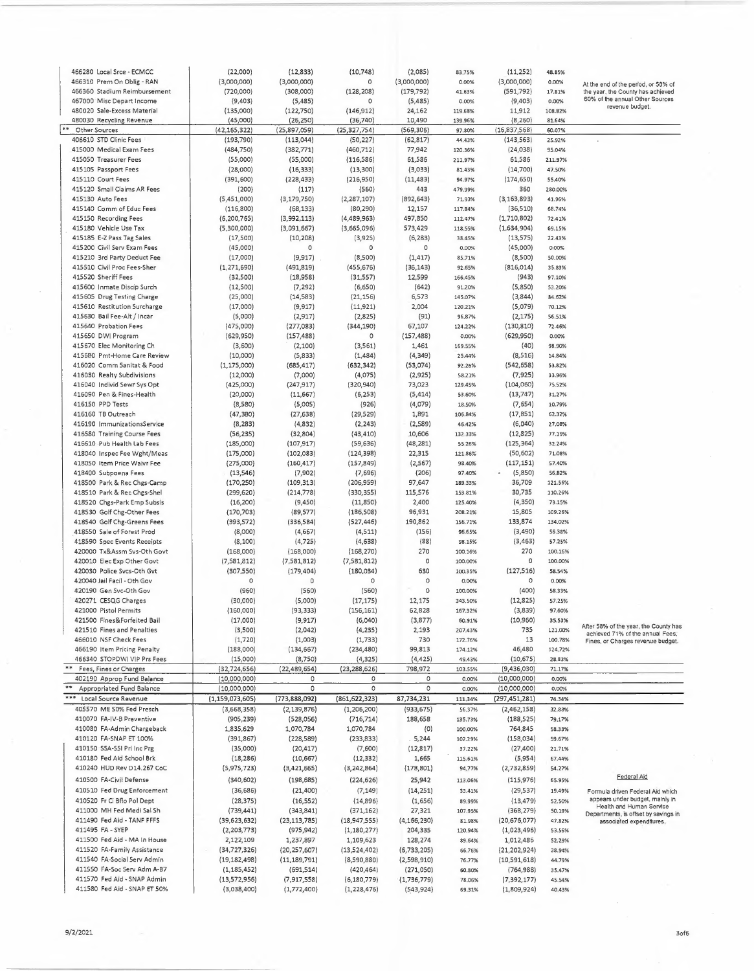| 466280 Local Srce - ECMCC                                   |                             |                              |                                |                           |                  |                              |                  |                                       |
|-------------------------------------------------------------|-----------------------------|------------------------------|--------------------------------|---------------------------|------------------|------------------------------|------------------|---------------------------------------|
|                                                             | (22,000)                    | (12, 833)                    | (10, 748)                      | (2,085)                   | 83.75%           | (11, 252)                    | 48.85%           |                                       |
| 466310 Prem On Oblig - RAN                                  | (3,000,000)                 | (3,000,000)                  | 0                              | (3,000,000)               | 0.00%            | (3,000,000)                  | 0.00%            | At the end of the period, or 58% of   |
| 466360 Stadium Reimbursement                                | (720,000)                   | (308,000)                    | (128, 208)                     | (179, 792)                | 41.63%           | (591, 792)                   | 17.81%           | the year, the County has achieved     |
| 467000 Misc Depart Income                                   | (9,403)                     | (5,485)                      | 0                              | (5,485)                   | 0.00%            | (9,403)                      | 0.00%            | 60% of the annual Other Sources       |
| 480020 Sale-Excess Material                                 | (135,000)                   | (122,750)                    | (146, 912)                     | 24,162                    | 119.68%          | 11,912                       | 108.82%          | revenue budget.                       |
| 480030 Recycling Revenue                                    |                             |                              |                                |                           |                  |                              |                  |                                       |
|                                                             | (45,000)                    | (26, 250)                    | (36, 740)                      | 10,490                    | 139.96%          | (8, 260)                     | 81.64%           |                                       |
| Other Sources                                               | (42, 165, 322)              | (25,897,059)                 | (25, 327, 754)                 | (569, 306)                | 97.80%           | (16,837,568)                 | 60.07%           |                                       |
| 406610 STD Clinic Fees                                      | (193, 790)                  | (113,044)                    | (50, 227)                      | (62, 817)                 | 44.43%           | (143, 563)                   | 25.92%           |                                       |
| 415000 Medical Exam Fees                                    | (484, 750)                  | (382, 771)                   | (460, 712)                     | 77,942                    | 120.36%          | (24, 038)                    | 95.04%           |                                       |
| 415050 Treasurer Fees                                       | (55,000)                    | (55,000)                     | (116, 586)                     | 61,586                    | 211.97%          | 61,586                       | 211.97%          |                                       |
| 415105 Passport Fees                                        | (28,000)                    | (16, 333)                    | (13,300)                       | (3,033)                   | 81.43%           | (14, 700)                    | 47.50%           |                                       |
|                                                             |                             |                              |                                |                           |                  |                              |                  |                                       |
| 415110 Court Fees                                           | (391, 600)                  | (228, 433)                   | (216,950)                      | (11, 483)                 | 94.97%           | (174, 650)                   | 55.40%           |                                       |
| 415120 Small Claims AR Fees                                 | (200)                       | (117)                        | (560)                          | 443                       | 479.99%          | 360                          | 280.00%          |                                       |
| 415130 Auto Fees                                            | (5,451,000)                 | (3, 179, 750)                | (2, 287, 107)                  | (892, 643)                | 71.93%           | (3, 163, 893)                | 41.96%           |                                       |
| 415140 Comm of Educ Fees                                    | (116,800)                   | (68, 133)                    | (80, 290)                      | 12,157                    | 117.84%          | (36, 510)                    | 68.74%           |                                       |
| 415150 Recording Fees                                       | (6, 200, 765)               | (3,992,113)                  | (4,489,963)                    | 497,850                   | 112.47%          | (1,710,802)                  | 72.41%           |                                       |
|                                                             |                             |                              |                                |                           |                  |                              |                  |                                       |
| 415180 Vehicle Use Tax                                      | (5,300,000)                 | (3,091,667)                  | (3,665,096)                    | 573,429                   | 118.55%          | (1,634,904)                  | 69.15%           |                                       |
| 415185 E-Z Pass Tag Sales                                   | (17, 500)                   | (10, 208)                    | (3,925)                        | (6, 283)                  | 38.45%           | (13, 575)                    | 22.43%           |                                       |
| 415200 Civil Serv Exam Fees                                 | (45,000)                    | 0                            | $\circ$                        | 0                         | 0.00%            | (45,000)                     | 0.00%            |                                       |
| 415210 3rd Party Deduct Fee                                 | (17,000)                    | (9, 917)                     | (8,500)                        | (1, 417)                  | 85.71%           | (8,500)                      | 50.00%           |                                       |
|                                                             |                             |                              |                                |                           |                  |                              |                  |                                       |
| 415510 Civil Proc Fees-Sher                                 | (1, 271, 690)               | (491, 819)                   | (455, 676)                     | (36, 143)                 | 92.65%           | (816, 014)                   | 35.83%           |                                       |
| 415520 Sheriff Fees                                         | (32,500)                    | (18,958)                     | (31, 557)                      | 12,599                    | 166.45%          | (943)                        | 97.10%           |                                       |
| 415600 Inmate Discip Surch                                  | (12, 500)                   | (7, 292)                     | (6,650)                        | (642)                     | 91.20%           | (5,850)                      | 53.20%           |                                       |
| 415605 Drug Testing Charge                                  | (25,000)                    | (14, 583)                    | (21, 156)                      | 6,573                     | 145.07%          | (3,844)                      | 84.62%           |                                       |
| 415610 Restitution Surcharge                                | (17,000)                    | (9, 917)                     | (11, 921)                      | 2,004                     | 120.21%          | (5,079)                      | 70.12%           |                                       |
|                                                             |                             |                              |                                |                           |                  |                              |                  |                                       |
| 415630 Bail Fee-Alt / Incar                                 | (5,000)                     | (2, 917)                     | (2,825)                        | (91)                      | 96,87%           | (2, 175)                     | 56.51%           |                                       |
| 415640 Probation Fees                                       | (475,000)                   | (277, 083)                   | (344, 190)                     | 67,107                    | 124.22%          | (130, 810)                   | 72.46%           |                                       |
| 415650 DWI Program                                          | (629, 950)                  | (157, 488)                   | 0                              | (157, 488)                | 0.00%            | (629.950)                    | 0.00%            |                                       |
| 415670 Elec Monitoring Ch                                   | (3,600)                     | (2, 100)                     | (3,561)                        | 1,461                     | 169.55%          | (40)                         | 98.90%           |                                       |
| 415680 Pmt-Home Care Review                                 | (10,000)                    | (5,833)                      | (1,484)                        | (4, 349)                  | 25.44%           | (8, 516)                     | 14.84%           |                                       |
|                                                             |                             |                              |                                |                           |                  |                              |                  |                                       |
| 416020 Comm Sanitat & Food                                  | (1, 175, 000)               | (685, 417)                   | (632, 342)                     | (53,074)                  | 92.26%           | (542, 658)                   | 53.82%           |                                       |
| 416030 Realty Subdivisions                                  | (12,000)                    | (7,000)                      | (4,075)                        | (2,925)                   | 58.21%           | (7, 925)                     | 33.96%           |                                       |
| 416040 Individ Sewr Sys Opt                                 | (425,000)                   | (247, 917)                   | (320, 940)                     | 73,023                    | 129.45%          | (104, 060)                   | 75.52%           |                                       |
| 416090 Pen & Fines-Health                                   | (20,000)                    | (11, 667)                    | (6, 253)                       | (5, 414)                  | 53.60%           | (13, 747)                    | 31.27%           |                                       |
| 416150 PPD Tests                                            |                             |                              |                                |                           | 18.50%           |                              | 10,79%           |                                       |
|                                                             | (8,580)                     | (5,005)                      | (926)                          | (4,079)                   |                  | (7,654)                      |                  |                                       |
| 416160 TB Outreach                                          | (47, 380)                   | (27, 638)                    | (29, 529)                      | 1,891                     | 106.84%          | (17, 851)                    | 62.32%           |                                       |
| 416190 ImmunizationsService                                 | (8, 283)                    | (4,832)                      | (2, 243)                       | (2,589)                   | 46.42%           | (6,040)                      | 27.08%           |                                       |
| 416580 Training Course Fees                                 | (56, 235)                   | (32,804)                     | (43, 410)                      | 10,606                    | 132.33%          | (12,825)                     | 77.19%           |                                       |
| 416610 Pub Health Lab Fees                                  | (185,000)                   | (107, 917)                   | (59, 636)                      | (48, 281)                 | 55.26%           | (125, 364)                   | 32.24%           |                                       |
|                                                             |                             |                              |                                |                           |                  |                              |                  |                                       |
| 418040 Inspec Fee Wght/Meas                                 | (175,000)                   | (102, 083)                   | (124, 398)                     | 22,315                    | 121.86%          | (50, 602)                    | 71.08%           |                                       |
| 418050 Item Price Waivr Fee                                 | (275,000)                   | (160, 417)                   | (157, 849)                     | (2, 567)                  | 98.40%           | (117, 151)                   | 57.40%           |                                       |
| 418400 Subpoena Fees                                        | (13, 546)                   | (7,902)                      | (7,696)                        | (206)                     | 97.40%           | (5,850)                      | 56.82%           |                                       |
| 418500 Park & Rec Chgs-Camp                                 | (170, 250)                  | (109, 313)                   | (206,959)                      | 97,647                    | 189.33%          | 36,709                       | 121.56%          |                                       |
| 418510 Park & Rec Chgs-Shel                                 | (299, 620)                  | (214, 778)                   | (330, 355)                     | 115,576                   | 153.81%          | 30,735                       | 110.26%          |                                       |
|                                                             |                             |                              |                                |                           |                  |                              |                  |                                       |
| 418520 Chgs-Park Emp Subsis                                 | (16, 200)                   | (9,450)                      | (11,850)                       | 2,400                     | 125.40%          | (4, 350)                     | 73.15%           |                                       |
| 418530 Golf Chg-Other Fees                                  | (170, 703)                  | (89, 577)                    | (186, 508)                     | 96,931                    | 208.21%          | 15,805                       | 109.26%          |                                       |
| 418540 Golf Chg-Greens Fees                                 | (393, 572)                  | (336, 584)                   | (527, 446)                     | 190,862                   | 156.71%          | 133,874                      | 134.02%          |                                       |
| 418550 Sale of Forest Prod                                  | (8,000)                     | (4,667)                      | (4, 511)                       | (156)                     | 96.65%           | (3,490)                      | 56.38%           |                                       |
| 418590 Spec Events Receipts                                 |                             |                              |                                |                           |                  |                              |                  |                                       |
|                                                             | (8, 100)                    | (4, 725)                     | (4,638)                        | (88)                      | 98.15%           | (3, 463)                     | 57.25%           |                                       |
|                                                             |                             | (168,000)                    | (168, 270)                     | 270                       | 100.16%          | 270                          | 100.16%          |                                       |
| 420000 Tx&Assm Svs-Oth Govt                                 | (168,000)                   |                              |                                |                           | 100.00%          |                              | 100.00%          |                                       |
| 420010 Elec Exp Other Govt                                  | (7, 581, 812)               | (7,581,812)                  | (7, 581, 812)                  | $\circ$                   |                  | 0                            |                  |                                       |
|                                                             |                             |                              |                                |                           |                  |                              |                  |                                       |
| 420030 Police Svcs-Oth Gvt                                  | (307, 550)                  | (179, 404)                   | (180, 034)                     | 630                       | 100.35%          | (127, 516)                   | 58.54%           |                                       |
| 420040 Jail Facil - Oth Gov                                 | 0                           | 0                            | 0                              | $\circ$                   | 0.00%            | 0                            | 0.00%            |                                       |
| 420190 Gen Svc-Oth Gov                                      | (960)                       | (560)                        | (560)                          | 0                         | 100.00%          | (400)                        | 58.33%           |                                       |
| 420271 CESQG Charges                                        | (30,000)                    | (5,000)                      | (17, 175)                      | 12,175                    | 343.50%          | (12, 825)                    | 57.25%           |                                       |
|                                                             |                             |                              |                                |                           | 167.32%          |                              |                  |                                       |
| 421000 Pistol Permits                                       | (160,000)                   | (93, 333)                    | (156, 161)                     | 62,828                    |                  | (3,839)                      | 97.60%           |                                       |
| 421500 Fines&Forfeited Bail                                 | (17,000)                    | (9, 917)                     | (6,040)                        | (3,877)                   | 60.91%           | (10,960)                     | 35.53%           | After 58% of the year, the County has |
| 421510 Fines and Penalties                                  | (3,500)                     | (2,042)                      | (4, 235)                       | 2,193                     | 207.43%          | 735                          | 121.00%          | achieved 71% of the annual Fees;      |
| 466010 NSF Check Fees                                       | (1,720)                     | (1,003)                      | (1, 733)                       | 730                       | 172.76%          | 13                           | 100.78%          | Fines, or Charges revenue budget.     |
| 466190 Item Pricing Penalty                                 | (188,000)                   | (134, 667)                   | (234, 480)                     | 99,813                    | 174.12%          | 46,480                       | 124.72%          |                                       |
| 466340 STOPDWI VIP Prs Fees                                 |                             | (8,750)                      |                                | (4, 425)                  | 49.43%           | (10, 675)                    | 28.83%           |                                       |
|                                                             | (15,000)                    |                              | (4, 325)                       |                           |                  |                              |                  |                                       |
| **<br>Fees, Fines or Charges                                | (32, 724, 656)              | (22, 489, 654)               | (23, 288, 626)                 | 798,972                   | 103.55%          | (9,436,030)                  | 71.17%           |                                       |
| 402190 Approp Fund Balance                                  | (10,000,000)                | 0                            | 0                              | 0                         | 0.00%            | (10,000,000)                 | 0.00%            |                                       |
| Appropriated Fund Balance                                   | (10,000,000)                | $\circ$                      | $\circ$                        | 0                         | 0.00%            | (10,000,000)                 | 0.00%            |                                       |
| ***<br>Local Source Revenue                                 | (1, 159, 073, 605)          | (773, 888, 092)              | (861, 622, 323)                | 87,734,231                | 111.34%          | (297, 451, 281)              | 74.34%           |                                       |
|                                                             |                             |                              |                                |                           |                  |                              |                  |                                       |
| 405570 ME 50% Fed Presch                                    | (3,668,358)                 | (2, 139, 876)                | (1, 206, 200)                  | (933, 675)                | 56.37%           | (2,462,158)                  | 32.88%           |                                       |
| 410070 FA-IV-B Preventive                                   | (905, 239)                  | (528,056)                    | (716, 714)                     | 188,658                   | 135.73%          | (188, 525)                   | 79.17%           |                                       |
| 410080 FA-Admin Chargeback                                  | 1,835,629                   | 1,070,784                    | 1,070,784                      | (0)                       | 100.00%          | 764,845                      | 58.33%           |                                       |
| 410120 FA-SNAP ET 100%                                      | (391, 867)                  | (228, 589)                   | (233,833)                      | .5,244                    | 102.29%          | (158,034)                    | 59.67%           |                                       |
| 410150 SSA-SSI Pri Inc Prg                                  |                             |                              |                                |                           |                  |                              |                  |                                       |
|                                                             | (35,000)                    | (20, 417)                    | (7,600)                        | (12, 817)                 | 37.22%           | (27, 400)                    | 21.71%           |                                       |
| 410180 Fed Aid School Brk                                   | (18, 286)                   | (10, 667)                    | (12, 332)                      | 1,665                     | 115.61%          | (5,954)                      | 67.44%           |                                       |
| 410240 HUD Rev D14.267 CoC                                  | (5,975,723)                 | (3,421,665)                  | (3, 242, 864)                  | (178, 801)                | 94.77%           | (2,732,859)                  | 54.27%           |                                       |
| 410500 FA-Civil Defense                                     | (340, 602)                  | (198, 685)                   | (224, 626)                     | 25,942                    | 113.06%          | (115,976)                    | 65.95%           | Federal Aid                           |
|                                                             |                             |                              |                                |                           |                  |                              |                  |                                       |
| 410510 Fed Drug Enforcement                                 | (36, 686)                   | (21, 400)                    | (7, 149)                       | (14, 251)                 | 33.41%           | (29, 537)                    | 19.49%           | Formula driven Federal Aid which      |
| 410520 Fr Ci Bflo Pol Dept                                  | (28, 375)                   | (16, 552)                    | (14,896)                       | (1,656)                   | 89.99%           | (13, 479)                    | 52.50%           | appears under budget, mainly in       |
| 411000 MH Fed Medi Sal Sh                                   | (739, 441)                  | (343, 841)                   | (371, 162)                     | 27,321                    | 107.95%          | (368, 279)                   | 50.19%           | Health and Human Service              |
| 411490 Fed Aid - TANF FFFS                                  |                             |                              |                                |                           |                  |                              |                  | Departments, is offset by savings in  |
|                                                             | (39,623,632)                | (23, 113, 785)               | (18, 947, 555)                 | (4, 166, 230)             | 81.98%           | (20, 676, 077)               | 47.82%           | associated expenditures.              |
| 411495 FA - SYEP                                            | (2, 203, 773)               | (975, 942)                   | (1, 180, 277)                  | 204,335                   | 120.94%          | (1,023,496)                  | 53.56%           |                                       |
| 411500 Fed Aid - MA In House                                | 2,122,109                   | 1,237,897                    | 1,109,623                      | 128,274                   | 89.64%           | 1,012,486                    | 52.29%           |                                       |
| 411520 FA-Family Assistance                                 | (34, 727, 326)              | (20, 257, 607)               | (13,524,402)                   | (6, 733, 205)             | 66.76%           | (21, 202, 924)               | 38.94%           |                                       |
| 411540 FA-Social Serv Admin                                 |                             |                              |                                |                           |                  |                              |                  |                                       |
|                                                             | (19, 182, 498)              | (11, 189, 791)               | (8,590,880)                    | (2,598,910)               | 76.77%           | (10, 591, 618)               | 44.79%           |                                       |
| 411550 FA-Soc Serv Adm A-87                                 | (1, 185, 452)               | (691, 514)                   | (420, 464)                     | (271,050)                 | 60.80%           | (764, 988)                   | 35.47%           |                                       |
| 411570 Fed Aid - SNAP Admin<br>411580 Fed Aid - SNAP ET 50% | (13,572,956)<br>(3,038,400) | (7, 917, 558)<br>(1,772,400) | (6, 180, 779)<br>(1, 228, 476) | (1,736,779)<br>(543, 924) | 78.06%<br>69.31% | (7, 392, 177)<br>(1,809,924) | 45.54%<br>40.43% |                                       |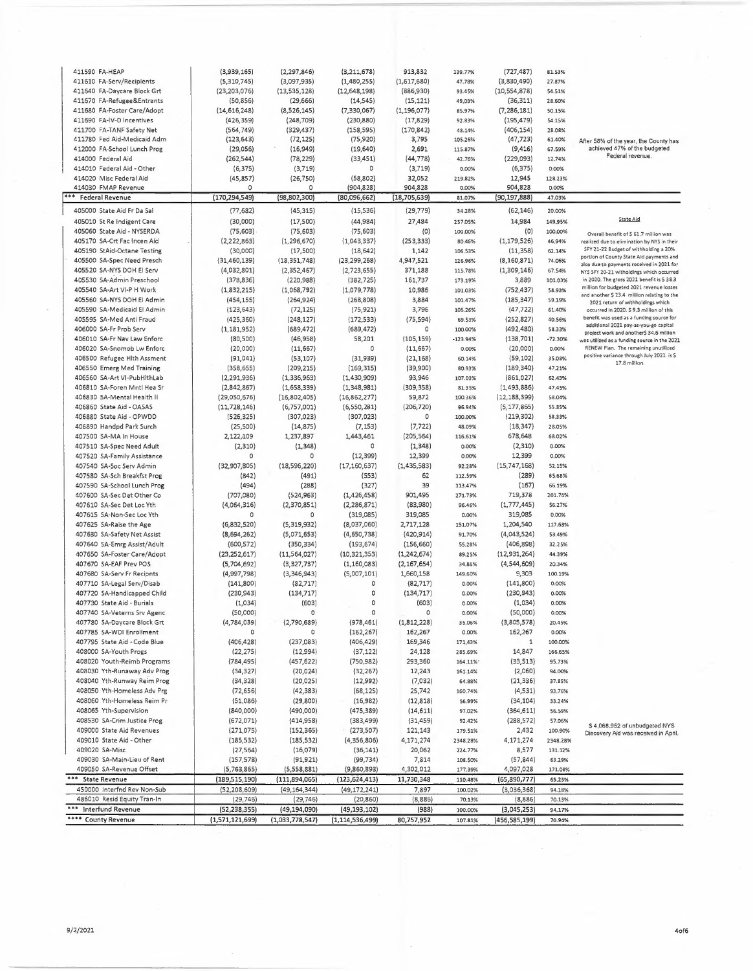| 411590 FA-HEAP                                           | (3,939,165)     | (2, 297, 846)   | (3, 211, 678)      | 913,832        | 139.77%    | (727, 487)      | 81.53%    |                                                                                         |
|----------------------------------------------------------|-----------------|-----------------|--------------------|----------------|------------|-----------------|-----------|-----------------------------------------------------------------------------------------|
| 411610 FA-Serv/Recipients                                | (5,310,745)     | (3,097,935)     | (1,480,255)        | (1,617,680)    | 47.78%     | (3,830,490)     | 27.87%    |                                                                                         |
| 411640 FA-Daycare Block Grt                              | (23, 203, 076)  | (13, 535, 128)  | (12,648,198)       | (886,930)      | 93.45%     | (10, 554, 878)  | 54.51%    |                                                                                         |
| 411670 FA-Refugee&Entrants                               | (50, 856)       | (29, 666)       | (14, 545)          | (15, 121)      | 49.03%     | (36, 311)       | 28.60%    |                                                                                         |
| 411680 FA-Foster Care/Adopt                              | (14, 616, 248)  | (8,526,145)     | (7,330,067)        | (1, 196, 077)  | 85.97%     | (7, 286, 181)   | 50.15%    |                                                                                         |
| 411690 FA-IV-D Incentives                                | (426, 359)      | (248, 709)      | (230, 880)         | (17, 829)      | 92.83%     | (195, 479)      | 54.15%    |                                                                                         |
| 411700 FA-TANF Safety Net                                | (564, 749)      | (329, 437)      | (158, 595)         | (170, 842)     | 48.14%     | (406, 154)      | 28.08%    |                                                                                         |
| 411780 Fed Aid-Medicaid Adm                              | (123, 643)      | (72, 125)       | (75, 920)          | 3,795          | 105.26%    | (47, 723)       | 61.40%    | After 58% of the year, the County has                                                   |
| 412000 FA-School Lunch Prog                              | (29,056)        | (16,949)        | (19,640)           | 2,691          | 115.87%    | (9, 416)        | 67.59%    | achieved 47% of the budgeted                                                            |
| 414000 Federal Aid                                       | (262, 544)      | (78, 229)       | (33, 451)          | (44,778)       | 42.76%     | (229, 093)      | 12.74%    | Federal revenue.                                                                        |
| 414010 Federal Aid - Other                               | (6, 375)        | (3,719)         | 0                  | (3,719)        | 0.00%      | (6, 375)        | 0.00%     |                                                                                         |
| 414020 Misc Federal Aid                                  | (45, 857)       | (26, 750)       | (58, 802)          | 32,052         | 219.82%    | 12,945          | 128.23%   |                                                                                         |
| 414030 FMAP Revenue                                      | 0               | 0               | (904, 828)         | 904,828        | 0.00%      | 904,828         | 0.00%     |                                                                                         |
| <b>Federal Revenue</b>                                   | (170, 294, 549) | (98, 802, 300)  | (80,096,662)       | (18, 705, 639) | 81.07%     | (90, 197, 888)  | 47.03%    |                                                                                         |
| 405000 State Aid Fr Da Sal                               | (77, 682)       | (45, 315)       | (15, 536)          | (29, 779)      | 34.28%     | (62, 146)       | 20.00%    |                                                                                         |
| 405010 St Re Indigent Care                               | (30,000)        | (17,500)        | (44, 984)          | 27,484         | 257.05%    | 14,984          | 149.95%   | State Aid                                                                               |
| 405060 State Aid - NYSERDA                               | (75, 603)       | (75,603)        | (75, 603)          |                |            | (0)             |           |                                                                                         |
| 405170 SA-Crt Fac Incen Aid                              |                 |                 |                    | (0)            | 100.00%    |                 | 100.00%   | Overall benefit of \$ 61.7 million was                                                  |
|                                                          | (2,222,863)     | (1, 296, 670)   | (1,043,337)        | (253, 333)     | 80.46%     | (1, 179, 526)   | 46.94%    | realized due to elimination by NYS in their<br>SFY 21-22 Budget of withholding a 20%    |
| 405190 StAid-Octane Testing                              | (30,000)        | (17, 500)       | (18, 642)          | 1,142          | 106.53%    | (11, 358)       | 62.14%    | portion of County State Aid payments and                                                |
| 405500 SA-Spec Need Presch                               | (31, 460, 139)  | (18, 351, 748)  | (23, 299, 268)     | 4,947,521      | 126.96%    | (8, 160, 871)   | 74.06%    | also due to payments received in 2021 for                                               |
| 405520 SA-NYS DOH EI Serv                                | (4,032,801)     | (2,352,467)     | (2,723,655)        | 371,188        | 115.78%    | (1,309,146)     | 67.54%    | NYS SFY 20-21 witholdings which occurred                                                |
| 405530 SA-Admin Preschool                                | (378, 836)      | (220, 988)      | (382, 725)         | 161,737        | 173.19%    | 3,889           | 101.03%   | in 2020. The gross 2021 benefit is 5 38.3                                               |
| 405540 SA-Art VI-P H Work                                | (1,832,215)     | (1,068,792)     | (1,079,778)        | 10,986         | 101.03%    | (752, 437)      | 58.93%    | million for budgeted 2021 revenue losses<br>and another \$ 23.4 million relating to the |
| 405560 SA-NYS DOH El Admin                               | (454, 155)      | (264, 924)      | (268, 808)         | 3,884          | 101.47%    | (185, 347)      | 59.19%    | 2021 return of withholdings which                                                       |
| 405590 SA-Medicaid El Admin                              | (123, 643)      | (72, 125)       | (75, 921)          | 3,796          | 105.26%    | (47, 722)       | 61.40%    | occurred in 2020. S 9.3 million of this                                                 |
| 405595 SA-Med Anti Fraud                                 | (425, 360)      | (248, 127)      | (172, 533)         | (75, 594)      | 69.53%     | (252, 827)      | 40.56%    | benefit was used as a funding source for                                                |
| 406000 SA-Fr Prob Serv                                   | (1, 181, 952)   | (689, 472)      | (689, 472)         | $\circ$        | 100.00%    | (492, 480)      | 58.33%    | additional 2021 pay-as-you-go capital<br>project work and another\$ 34.6 million        |
| 406010 SA-Fr Nav Law Enforc                              | (80, 500)       | (46,958)        | 58,201             | (105, 159)     | $-123.94%$ | (138, 701)      | $-72.30%$ | was utilized as a funding source in the 2021                                            |
| 406020 SA-Snomob Lw Enforc                               | (20,000)        | (11, 667)       | 0                  | (11, 667)      | 0.00%      | (20,000)        | 0.00%     | RENEW Plan. The remaining unutilized                                                    |
| 406500 Refugee Hith Assment                              | (91, 041)       | (53, 107)       | (31, 939)          | (21, 168)      | 60.14%     | (59, 102)       | 35.08%    | positive variance through July 2021 is \$                                               |
| 406550 Emerg Med Training                                | (358, 655)      | (209, 215)      | (169, 315)         | (39,900)       | 80.93%     | (189, 340)      | 47.21%    | 17.8 million.                                                                           |
| 406560 SA-Art VI-PubHithLab                              | (2, 291, 936)   | (1,336,963)     | (1,430,909)        | 93,946         | 107.03%    | (861,027)       | 62.43%    |                                                                                         |
| 406810 SA-Foren Mntl Hea Sr                              | (2,842,867)     | (1,658,339)     | (1,348,981)        | (309, 358)     | 81.35%     | (1, 493, 886)   | 47.45%    |                                                                                         |
| 406830 5A-Mental Health II                               | (29,050,676)    | (16,802,405)    | (16,862,277)       | 59,872         | 100.36%    | (12, 188, 399)  | 58.04%    |                                                                                         |
| 406860 State Aid - OASAS                                 | (11, 728, 146)  | (6,757,001)     | (6,550,281)        | (206, 720)     | 96.94%     | (5, 177, 865)   | 55.85%    |                                                                                         |
| 406880 State Aid - OPWDD                                 | (526, 325)      | (307, 023)      | (307, 023)         | o              | 100.00%    | (219, 302)      | 58.33%    |                                                                                         |
| 406890 Handpd Park Surch                                 | (25, 500)       | (14, 875)       | (7, 153)           | (7, 722)       | 48.09%     | (18, 347)       | 28.05%    |                                                                                         |
| 407500 SA-MA In House                                    | 2,122,109       | 1,237,897       | 1,443,461          | (205, 564)     | 116.61%    | 678,648         | 68.02%    |                                                                                         |
|                                                          |                 |                 | $\circ$            |                |            |                 | 0.00%     |                                                                                         |
| 407510 SA-Spec Need Adult                                | (2,310)         | (1, 348)        |                    | (1, 348)       | 0.00%      | (2, 310)        |           |                                                                                         |
| 407520 SA-Family Assistance                              | ٥               | 0               | (12, 399)          | 12,399         | 0.00%      | 12,399          | 0.00%     |                                                                                         |
| 407540 SA-5oc Serv Admin                                 | (32,907,805)    | (18,596,220)    | (17, 160, 637)     | (1, 435, 583)  | 92.28%     | (15,747,168)    | 52.15%    |                                                                                         |
| 407580 SA-Sch Breakfst Prog                              | (842)           | (491)           | (553)              | 62             | 112.59%    | (289)           | 65.68%    |                                                                                         |
| 407590 SA-School Lunch Prog                              | (494)           | (288)           | (327)              | 39             | 113.47%    | (167)           | 66.19%    |                                                                                         |
| 407600 SA-Sec Det Other Co                               | (707,080)       | (524, 963)      | (1,426,458)        | 901,495        | 271.73%    | 719,378         | 201.74%   |                                                                                         |
| 407610 SA-Sec Det Loc Yth                                | (4,064,316)     | (2,370,851)     | (2, 286, 871)      | (83,980)       | 96.46%     | (1,777,445)     | 56.27%    |                                                                                         |
| 407615 SA-Non-Sec Loc Yth                                | 0               | 0               | (319,085)          | 319,085        | 0.00%      | 319,085         | 0.00%     |                                                                                         |
| 407625 SA-Raise the Age                                  | (6,832,520)     | (5,319,932)     | (8,037,060)        | 2,717,128      | 151.07%    | 1,204,540       | 117.63%   |                                                                                         |
| 407630 SA-Safety Net Assist                              | (8,694,262)     | (5,071,653)     | (4,650,738)        | (420, 914)     | 91.70%     | (4,043,524)     | 53.49%    |                                                                                         |
| 407640 SA-Emrg Assist/Adult                              | (600, 572)      | (350, 334)      | (193, 674)         | (156, 660)     | 55.28%     | (406, 898)      | 32.25%    |                                                                                         |
| 407650 SA-Foster Care/Adopt                              | (23, 252, 617)  | (11,564,027)    | (10, 321, 353)     | (1,242,674)    | 89.25%     | (12,931,264)    | 44.39%    |                                                                                         |
| 407670 SA-EAF Prev POS                                   | (5,704,692)     | (3,327,737)     | (1, 160, 083)      | (2, 167, 654)  | 34.86%     | (4,544,609)     | 20.34%    |                                                                                         |
| 407680 SA-Serv Fr Recipnts                               | (4,997,798)     | (3,346,943)     | (5,007,101)        | 1,660,158      | 149.60%    | 9,303           | 100.19%   |                                                                                         |
| 407710 SA-Legal Serv/Disab                               | (141,800)       | (82, 717)       | 0                  | (82, 717)      | 0.00%      | (141,800)       | 0.00%     |                                                                                         |
| 407720 SA-Handicapped Child                              | (230, 943)      | (134, 717)      | 0                  | (134, 717)     | 0.00%      | (230, 943)      | 0.00%     |                                                                                         |
| 407730 State Aid - Burials                               | (1,034)         | (603)           | 0                  | (603)          | 0.00%      | (1,034)         | 0.00%     |                                                                                         |
| 407740  SA-Veterns Srv Agenc                             | (50,000)        |                 |                    |                | 0.00%      | (50,000)        | 0.00%     |                                                                                         |
| 407780 SA-Daycare Block Grt                              | (4,784,039)     | (2,790,689)     | (978, 461)         | (1,812,228)    | 35.06%     | (3,805,578)     | 20.45%    |                                                                                         |
| 407785 SA-WDI Enrollment                                 | 0               | 0               | (162, 267)         | 162,267        | 0.00%      | 162,267         | 0.00%     |                                                                                         |
| 407795 State Aid - Code Blue                             | (406, 428)      | (237,083)       | (406, 429)         | 169,346        | 171,43%    | 1               | 100.00%   |                                                                                         |
| 408000 SA-Youth Progs                                    | (22, 275)       | (12,994)        | (37, 122)          | 24,128         | 285.69%    | 14,847          | 166.65%   |                                                                                         |
| 408020 Youth-Reimb Programs                              | (784, 495)      | (457, 622)      | (750, 982)         | 293,360        | 164.11%    | (33, 513)       | 95.73%    |                                                                                         |
| 408030 Yth-Runaway Adv Prog                              | (34, 327)       | (20, 024)       | (32, 267)          | 12,243         | 161.14%    | (2,060)         | 94.00%    |                                                                                         |
| 408040 Yth-Runway Reim Prog                              | (34, 328)       | (20, 025)       | (12, 992)          | (7,032)        | 64.88%     | (21, 336)       | 37.85%    |                                                                                         |
| 408050 Yth-Homeless Adv Prg                              | (72, 656)       | (42, 383)       | (68, 125)          | 25,742         | 160.74%    | (4,531)         | 93.76%    |                                                                                         |
| 408060 Yth-Homeless Reim Pr                              | (51,086)        | (29, 800)       | (16,982)           | (12, 818)      | 56.99%     | (34, 104)       | 33.24%    |                                                                                         |
| 408065 Yth-Supervision                                   | (840,000)       | (490,000)       | (475, 389)         | (14, 611)      | 97.02%     | (364, 611)      | 56.59%    |                                                                                         |
|                                                          |                 |                 |                    |                |            |                 |           |                                                                                         |
| 408530 SA-Crim Justice Prog<br>409000 State Aid Revenues | (672,071)       | (414,958)       | (383, 499)         | (31, 459)      | 92.42%     | (288, 572)      | 57.06%    | \$4,068,952 of unbudgeted NYS                                                           |
|                                                          | (271, 075)      | (152, 365)      | (273, 507)         | 121,143        | 179.51%    | 2,432           | 100.90%   | Discovery Aid was received in April.                                                    |
| 409010 5tate Aid - Other                                 | (185, 532)      | (185, 532)      | (4,356,806)        | 4,171,274      | 2348.28%   | 4,171,274       | 2348.28%  |                                                                                         |
| 409020 SA-Misc                                           | (27, 564)       | (16,079)        | (36, 141)          | 20,062         | 224.77%    | 8,577           | 131.12%   |                                                                                         |
| 409030 SA-Main-Lieu of Rent                              | (157, 578)      | (91, 921)       | (99, 734)          | 7,814          | 108.50%    | (57, 844)       | 63.29%    |                                                                                         |
| 409050 SA-Revenue Offset                                 | (5,763,865)     | (5,558,881)     | (9,860,893)        | 4,302,012      | 177.39%    | 4,097,028       | 171.08%   |                                                                                         |
| *** State Revenue                                        | (189, 515, 190) | (111,894,065)   | (123, 624, 413)    | 11,730,348     | 110.48%    | (65,890,777)    | 65,23%    |                                                                                         |
| 450000 Interfnd Rev Non-Sub                              | (52, 208, 609)  | (49, 164, 344)  | (49, 172, 241)     | 7,897          | 100.02%    | (3,036,368)     | 94.18%    |                                                                                         |
| 486010 Resid Equity Tran-In                              | (29, 746)       | (29, 746)       | (20, 860)          | (8,886)        | 70.13%     | (8,886)         | 70.13%    |                                                                                         |
| ***<br>Interfund Revenue                                 | (52, 238, 355)  | (49, 194, 090)  | (49, 193, 102)     | (988)          | 100.00%    | (3,045,253)     | 94.17%    |                                                                                         |
| **** County Revenue                                      | (1,571,121,699) | (1,033,778,547) | (1, 114, 536, 499) | 80,757,952     | 107.81%    | (456, 585, 199) | 70.94%    |                                                                                         |

 $\overline{\phantom{a}}$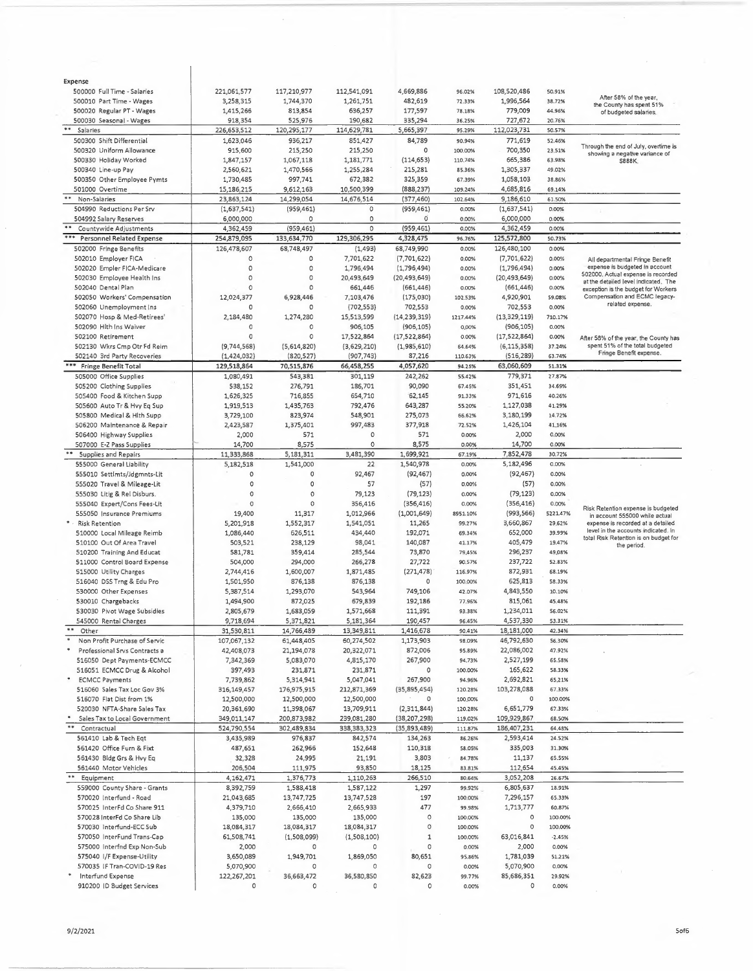| Expense                                                   |               |             |             |                |               |                |          |                                                                             |
|-----------------------------------------------------------|---------------|-------------|-------------|----------------|---------------|----------------|----------|-----------------------------------------------------------------------------|
| 500000 Full Time - Salaries                               | 221,061,577   | 117,210,977 | 112,541,091 | 4,669,886      | 96.02%        | 108,520,486    | 50.91%   |                                                                             |
| 500010 Part Time - Wages                                  | 3,258,315     | 1,744,370   | 1,261,751   | 482,619        | 72.33%        | 1,996,564      | 38.72%   | After 58% of the year,<br>the County has spent 51%                          |
| 500020 Regular PT - Wages                                 | 1,415,266     | 813,854     | 636,257     | 177,597        | 78.18%        | 779,009        | 44.96%   | of budgeted salaries.                                                       |
| 500030 Seasonal - Wages                                   | 918,354       | 525,976     | 190,682     | 335,294        | 36.25%        | 727,672        | 20.76%   |                                                                             |
| $***$<br>Salaries                                         | 226,653,512   | 120,295,177 | 114,629,781 | 5,665,397      | 95.29%        | 112,023,731    | 50.57%   |                                                                             |
| 500300 Shift Differential                                 | 1,623,046     | 936,217     | 851,427     | 84,789         | 90.94%        | 771,619        | 52.46%   |                                                                             |
| 500320 Uniform Allowance                                  | 915,600       | 215,250     | 215,250     | 0              | 100.00%       | 700,350        | 23.51%   | Through the end of July, overtime is                                        |
| 500330 Holiday Worked                                     | 1,847,157     | 1,067,118   | 1,181,771   | (114, 653)     | 110.74%       | 665,386        | 63.98%   | showing a negative variance of<br>S888K.                                    |
| 500340 Line-up Pay                                        | 2,560,621     | 1,470,566   | 1,255,284   | 215,281        | 85.36%        | 1,305,337      | 49.02%   |                                                                             |
| 500350 Other Employee Pymts                               | 1,730,485     | 997,741     | 672,382     | 325,359        | 67.39%        | 1,058,103      | 38.86%   |                                                                             |
|                                                           |               |             |             |                |               | 4,685,816      |          |                                                                             |
| 501000 Overtime<br>**                                     | 15,186,215    | 9,612,163   | 10,500,399  | (888, 237)     | 109.24%       |                | 69.14%   |                                                                             |
| Non-Salaries                                              | 23,863,124    | 14,299,054  | 14,676,514  | (377, 460)     | 102.64%       | 9,186,610      | 61.50%   |                                                                             |
| 504990 Reductions Per Srv                                 | (1,637,541)   | (959, 461)  | 0           | (959, 461)     | 0.00%         | (1,637,541)    | 0.00%    |                                                                             |
| 504992 Salary Reserves                                    | 6,000,000     | 0           | 0           | $\Omega$       | 0.00%         | 6,000,000      | 0.00%    |                                                                             |
| Countywide Adjustments                                    | 4,362,459     | (959, 461)  | $\circ$     | (959, 461)     | 0.00%         | 4,362,459      | 0.00%    |                                                                             |
| ***<br><b>Personnel Related Expense</b>                   | 254,879,095   | 133,634,770 | 129,306,295 | 4,328,475      | 96.76%        | 125,572,800    | 50.73%   |                                                                             |
| 502000 Fringe Benefits                                    | 126,478,607   | 68,748,497  | (1, 493)    | 68,749,990     | 0.00%         | 126,480,100    | 0.00%    |                                                                             |
| 502010 Employer FICA                                      | 0             | $\circ$     | 7,701,622   | (7,701,622)    | 0.00%         | (7,701,622)    | 0.00%    | All departmental Fringe Benefit                                             |
| 502020 Empler FICA-Medicare                               | 0             | 0           | 1,796,494   | (1,796,494)    | 0.00%         | (1,796,494)    | 0.00%    | expense is budgeted in account                                              |
| 502030 Employee Health Ins                                | 0             | 0           | 20,493,649  | (20, 493, 649) | 0.00%         | (20, 493, 649) | 0.00%    | 502000. Actual expense is recorded                                          |
| 502040 Dental Plan                                        | 0             | $\Omega$    | 661,446     | (661, 446)     | 0.00%         | (661, 446)     | 0.00%    | at the detailed level indicated. The<br>exception is the budget for Workers |
| 502050 Workers' Compensation                              | 12,024,377    | 6,928,446   | 7,103,476   | (175,030)      | 102.53%       | 4,920,901      | 59.08%   | Compensation and ECMC legacy-                                               |
| 502060 Unemployment Ins                                   | 0             | 0           | (702, 553)  | 702,553        | 0.00%         | 702,553        | 0.00%    | related expense.                                                            |
| 502070 Hosp & Med-Retirees'                               | 2,184,480     | 1,274,280   | 15,513,599  | (14, 239, 319) | 1217.44%      | (13, 329, 119) | 710.17%  |                                                                             |
|                                                           | 0             | 0           |             |                |               |                |          |                                                                             |
| 502090 Hlth Ins Waiver                                    |               |             | 906,105     | (906, 105)     | 0.00%         | (906, 105)     | 0.00%    |                                                                             |
| 502100 Retirement                                         | $\circ$       | 0           | 17,522,864  | (17,522,864)   | 0.00%         | (17, 522, 864) | 0.00%    | After 58% of the year, the County has                                       |
| 502130 Wkrs Cmp Otr Fd Reim                               | (9,744,568)   | (5,614,820) | (3,629,210) | (1,985,610)    | 64.64%        | (6, 115, 358)  | 37.24%   | spent 51% of the total budgeted<br>Fringe Benefit expense.                  |
| 502140 3rd Party Recoveries                               | (1,424,032)   | (820, 527)  | (907, 743)  | 87,216         | 110.63%       | (516, 289)     | 63.74%   |                                                                             |
| *** Fringe Benefit Total                                  | 129,518,864   | 70,515,876  | 66,458,255  | 4,057,620      | <b>94.25%</b> | 63,060,609     | 51.31%   |                                                                             |
| 505000 Office Supplies                                    | 1,080,491     | 543,381     | 301,119     | 242,262        | 55.42%        | 779,371        | 27.87%   |                                                                             |
| 505200 Clothing Supplies                                  | 538,152       | 276,791     | 186,701     | 90,090         | 67.45%        | 351,451        | 34.69%   |                                                                             |
| 505400 Food & Kitchen Supp                                | 1,626,325     | 716,855     | 654,710     | 62,145         | 91.33%        | 971,616        | 40.26%   |                                                                             |
| 505600 Auto Tr & Hvy Eq Sup                               | 1,919,513     | 1,435,763   | 792,476     | 643,287        | 55.20%        | 1,127,038      | 41.29%   |                                                                             |
| 505800 Medical & Hlth Supp                                | 3,729,100     | 823,974     | 548,901     | 275,073        | 66.62%        | 3,180,199      | 14.72%   |                                                                             |
| 506200 Maintenance & Repair                               | 2,423,587     | 1,375,401   | 997,483     | 377,918        | 72.52%        | 1,426,104      | 41.16%   |                                                                             |
| 506400 Highway Supplies                                   | 2,000         | 571         | 0           | 571            | 0.00%         | 2,000          | 0.00%    |                                                                             |
|                                                           |               |             | 0           |                |               |                | 0.00%    |                                                                             |
| 507000 E-Z Pass Supplies                                  | 14,700        | 8,575       |             | 8,575          | 0.00%         | 14,700         |          |                                                                             |
| <b>Supplies and Repairs</b>                               | 11,333,868    | 5,181,311   | 3,481,390   | 1,699,921      | 67.19%        | 7,852,478      | 30.72%   |                                                                             |
| 555000 General Liability                                  | 5,182,518     | 1,541,000   | 22          | 1,540,978      | 0.00%         | 5,182,496      | 0.00%    |                                                                             |
| 555010 Settlmts/Jdgmnts-Lit                               | $\circ$       | 0           | 92,467      | (92, 467)      | 0.00%         | (92, 467)      | 0.00%    |                                                                             |
| 555020 Travel & Mileage-Lit                               | $\circ$       | 0           | 57          | (57)           | 0.00%         | (57)           | 0.00%    |                                                                             |
| 555030 Litig & Rel Disburs.                               | 0             | 0           | 79,123      | (79, 123)      | 0.00%         | (79, 123)      | 0.00%    |                                                                             |
| 555040 Expert/Cons Fees-Lit                               | $\circ$       | 0           | 356,416     | (356, 416)     | 0.00%         | (356, 416)     | 0.00%    |                                                                             |
| 555050 Insurance Premiums                                 | 19,400        | 11,317      | 1,012,966   | (1,001,649)    | 8951.10%      | (993, 566)     | 5221.47% | Risk Retention expense is budgeted<br>in account 555000 while actual        |
| * - Risk Retention                                        | 5,201,918     | 1,552,317   | 1,541,051   | 11,265         | 99.27%        | 3,660,867      | 29.62%   | expense is recorded at a detailed                                           |
| 510000 Local Mileage Reimb                                | 1,086,440     | 626,511     | 434,440     | 192,071        | 69.34%        | 652,000        | 39.99%   | level in the accounts indicated. In                                         |
| 510100 Out Of Area Travel                                 | 503,521       | 238,129     | 98,041      | 140,087        | 41.17%        | 405,479        | 19.47%   | total Risk Retention is on budget for                                       |
| 510200 Training And Educat                                | 581,781       | 359,414     | 285,544     | 73,870         | 79.45%        | 296,237        | 49,08%   | the period.                                                                 |
| 511000 Control Board Expense                              | 504,000       | 294,000     | 266,278     | 27,722         | 90.57%        | 237,722        | 52.83%   |                                                                             |
|                                                           |               |             |             |                |               |                |          |                                                                             |
| 515000 Utility Charges                                    | 2,744,416     | 1,600,007   | 1,871,485   | (271, 478)     | 116.97%       | 872,931        | 68.19%   |                                                                             |
| 516040 DSS Trng & Edu Pro                                 | 1,501,950     | 876,138     | 876,138     | 0              | 100.00%       | 625,813        | 58.33%   |                                                                             |
| 530000 Other Expenses                                     | 5,387,514     | 1,293,070   | 543,964     | 749,106        | 42.07%        | 4,843,550      | 10.10%   |                                                                             |
| 530010 Chargebacks                                        | 1,494,900     | 872,025     | 679,839     | 192,186        | 77.96%        | 815,061        | 45.48%   |                                                                             |
| 530030 Pivot Wage Subsidies                               | 2,805,679     | 1,683,059   | 1,571,668   | 111,391        | 93.38%        | 1,234,011      | 56.02%   |                                                                             |
| 545000 Rental Charges                                     | 9,718,694     | 5,371,821   | 5,181,364   | 190,457        | 96.45%        | 4,537,330      | 53.31%   |                                                                             |
| $\pm\pm$<br>Other                                         | 31,530,811    | 14,766,489  | 13,349,811  | 1,416,678      | 90.41%        | 18,181,000     | 42.34%   |                                                                             |
| $\overline{\phantom{a}}$<br>Non Profit Purchase of Servic | 107,067,132   | 61,448,405  | 60,274,502  | 1,173,903      | 98.09%        | 46,792,630     | 56.30%   |                                                                             |
| $\boldsymbol{\ast}$<br>Professional Srvs Contracts a      | 42,408,073    | 21,194,078  | 20,322,071  | 872,006        | 95.89%        | 22,086,002     | 47.92%   |                                                                             |
| 516050 Dept Payments-ECMCC                                | 7,342,369     | 5,083,070   | 4,815,170   | 267,900        | 94.73%        | 2,527,199      | 65.58%   |                                                                             |
| 516051 ECMCC Drug & Alcohol                               | 397,493       | 231,871     | 231,871     | 0              | 100.00%       | 165,622        | 58.33%   |                                                                             |
| <b>ECMCC Payments</b>                                     | 7,739,862     | 5,314,941   | 5,047,041   | 267,900        | 94.96%        | 2,692,821      | 65,21%   |                                                                             |
| 516060 Sales Tax Loc Gov 3%                               | 316, 149, 457 | 176,975,915 | 212,871,369 | (35, 895, 454) | 120.28%       | 103,278,088    | 67.33%   |                                                                             |
|                                                           |               |             |             | 0              |               | 0              |          |                                                                             |
| 516070 Flat Dist from 1%                                  | 12,500,000    | 12,500,000  | 12,500,000  |                | 100.00%       |                | 100.00%  |                                                                             |
| 520030 NFTA-Share Sales Tax                               | 20,361,690    | 11,398,067  | 13,709,911  | (2,311,844)    | 120.28%       | 6,651,779      | 67.33%   |                                                                             |
| Sales Tax to Local Government<br>$***$                    | 349,011,147   | 200,873,982 | 239,081,280 | (38, 207, 298) | 119.02%       | 109,929,867    | 68.50%   |                                                                             |
| Contractual                                               | 524,790,554   | 302,489,834 | 338,383,323 | (35,893,489)   | 111.87%       | 186,407,231    | 64.48%   |                                                                             |
| 561410 Lab & Tech Eqt                                     | 3,435,989     | 976,837     | 842,574     | 134,263        | 86.26%        | 2,593,414      | 24.52%   |                                                                             |
| 561420 Office Furn & Fixt                                 | 487,651       | 262,966     | 152,648     | 110,318        | 58.05%        | 335,003        | 31.30%   |                                                                             |
| 561430 Bldg Grs & Hvy Eq                                  | 32,328        | 24,995      | 21,191      | 3,803          | 84.78%        | 11,137         | 65.55%   |                                                                             |
| 561440 Motor Vehicles                                     | 206,504       | 111,975     | 93,850      | 18,125         | 83.81%        | 112,654        | 45.45%   |                                                                             |
| Equipment                                                 | 4, 162, 471   | 1,376,773   | 1,110,263   | 266,510        | 80.64%        | 3,052,208      | 26.67%   |                                                                             |
| 559000 County Share - Grants                              | 8,392,759     | 1,588,418   | 1,587,122   | 1,297          | 99.92%        | 6,805,637      | 18.91%   |                                                                             |
| 570020 Interfund - Road                                   | 21,043,685    | 13,747,725  | 13,747,528  | 197            | 100.00%       | 7,296,157      | 65.33%   |                                                                             |
| 570025 InterFd Co Share 911                               | 4,379,710     | 2,666,410   | 2,665,933   | 477            | 99.98%        | 1,713,777      | 60.87%   |                                                                             |
| 570028 InterFd Co Share Lib                               | 135,000       | 135,000     | 135,000     | 0              | 100.00%       | 0              | 100.00%  |                                                                             |
| 570030 Interfund-ECC Sub                                  |               |             |             | 0              |               | $\circ$        |          |                                                                             |
|                                                           | 18,084,317    | 18,084,317  | 18,084,317  |                | 100.00%       |                | 100.00%  |                                                                             |
| 570050 InterFund Trans-Cap                                | 61,508,741    | (1,508,099) | (1,508,100) | $\mathbf 1$    | 100.00%       | 63,016,841     | $-2.45%$ |                                                                             |
| 575000 Interfnd Exp Non-Sub                               | 2,000         | 0           | 0           | 0              | 0.00%         | 2,000          | 0.00%    |                                                                             |
| 575040 I/F Expense-Utility                                | 3,650,089     | 1,949,701   | 1,869,050   | 80,651         | 95.86%        | 1,781,039      | 51.21%   |                                                                             |
| 570035 IF Tran-COVID-19 Res                               | 5,070,900     | 0           | 0           | 0              | 0.00%         | 5,070,900      | 0.00%    |                                                                             |
| Interfund Expense                                         | 122,267,201   | 36,663,472  | 36,580,850  | 82,623         | 99.77%        | 85,686,351     | 29.92%   |                                                                             |
| 910200 ID Budget Services                                 | O             | 0           | 0           | 0              | 0.00%         | 0              | 0.00%    |                                                                             |

 $\overline{1}$